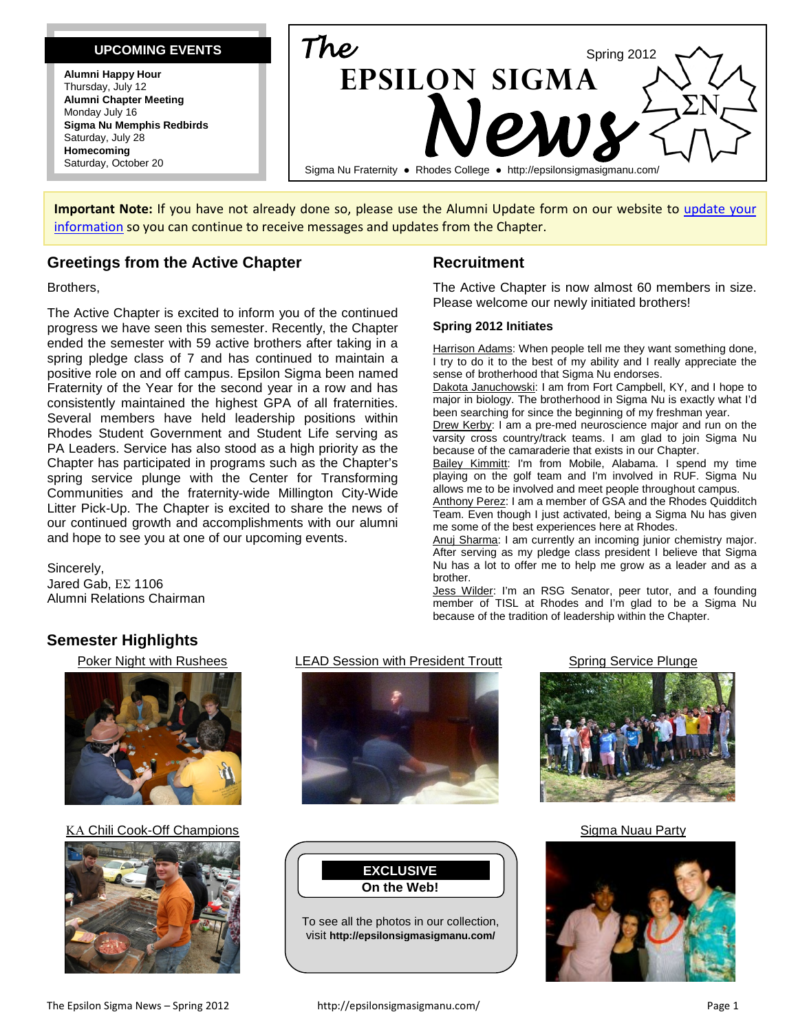#### **UPCOMING EVENTS**

**Alumni Happy Hour** Thursday, July 12 **Alumni Chapter Meeting** Monday July 16 **Sigma Nu Memphis Redbirds** Saturday, July 28 **Homecoming** Saturday, October 20



**Important Note:** If you have not already done so, please use the Alumni Update form on our website to [update your](http://epsilonsigmasigmanu.com/alumni-chapter/alumni-update-form/)  [information](http://epsilonsigmasigmanu.com/alumni-chapter/alumni-update-form/) so you can continue to receive messages and updates from the Chapter.

#### **Greetings from the Active Chapter**

Brothers,

The Active Chapter is excited to inform you of the continued progress we have seen this semester. Recently, the Chapter ended the semester with 59 active brothers after taking in a spring pledge class of 7 and has continued to maintain a positive role on and off campus. Epsilon Sigma been named Fraternity of the Year for the second year in a row and has consistently maintained the highest GPA of all fraternities. Several members have held leadership positions within Rhodes Student Government and Student Life serving as PA Leaders. Service has also stood as a high priority as the Chapter has participated in programs such as the Chapter's spring service plunge with the Center for Transforming Communities and the fraternity-wide Millington City-Wide Litter Pick-Up. The Chapter is excited to share the news of our continued growth and accomplishments with our alumni and hope to see you at one of our upcoming events.

Sincerely, Jared Gab, ΕΣ 1106 Alumni Relations Chairman

## **Recruitment**

The Active Chapter is now almost 60 members in size. Please welcome our newly initiated brothers!

#### **Spring 2012 Initiates**

Harrison Adams: When people tell me they want something done, I try to do it to the best of my ability and I really appreciate the sense of brotherhood that Sigma Nu endorses.

Dakota Januchowski: I am from Fort Campbell, KY, and I hope to major in biology. The brotherhood in Sigma Nu is exactly what I'd been searching for since the beginning of my freshman year.

Drew Kerby: I am a pre-med neuroscience major and run on the varsity cross country/track teams. I am glad to join Sigma Nu because of the camaraderie that exists in our Chapter.

Bailey Kimmitt: I'm from Mobile, Alabama. I spend my time playing on the golf team and I'm involved in RUF. Sigma Nu allows me to be involved and meet people throughout campus.

Anthony Perez: I am a member of GSA and the Rhodes Quidditch Team. Even though I just activated, being a Sigma Nu has given me some of the best experiences here at Rhodes.

Anuj Sharma: I am currently an incoming junior chemistry major. After serving as my pledge class president I believe that Sigma Nu has a lot to offer me to help me grow as a leader and as a brother.

Jess Wilder: I'm an RSG Senator, peer tutor, and a founding member of TISL at Rhodes and I'm glad to be a Sigma Nu because of the tradition of leadership within the Chapter.

## **Semester Highlights**



#### ΚΑ Chili Cook-Off Champions **Sigma Nuau Party** Sigma Nuau Party









visit **<http://epsilonsigmasigmanu.com/>**



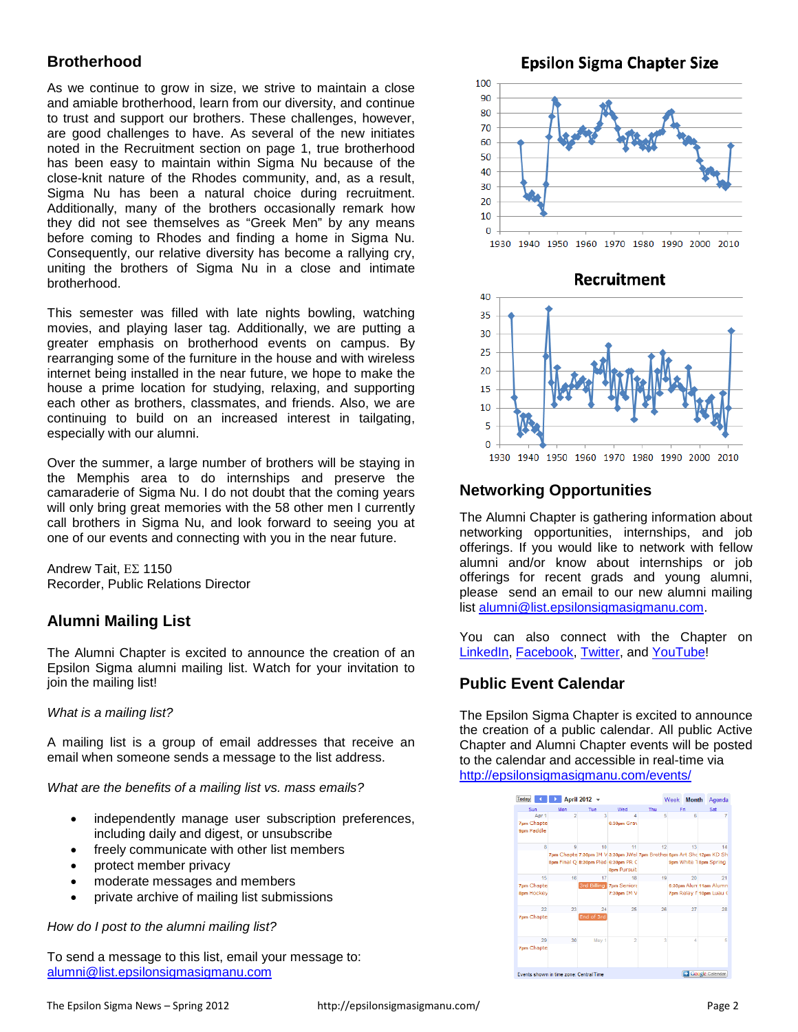## **Brotherhood**

As we continue to grow in size, we strive to maintain a close and amiable brotherhood, learn from our diversity, and continue to trust and support our brothers. These challenges, however, are good challenges to have. As several of the new initiates noted in the Recruitment section on page 1, true brotherhood has been easy to maintain within Sigma Nu because of the close-knit nature of the Rhodes community, and, as a result, Sigma Nu has been a natural choice during recruitment. Additionally, many of the brothers occasionally remark how they did not see themselves as "Greek Men" by any means before coming to Rhodes and finding a home in Sigma Nu. Consequently, our relative diversity has become a rallying cry, uniting the brothers of Sigma Nu in a close and intimate brotherhood.

This semester was filled with late nights bowling, watching movies, and playing laser tag. Additionally, we are putting a greater emphasis on brotherhood events on campus. By rearranging some of the furniture in the house and with wireless internet being installed in the near future, we hope to make the house a prime location for studying, relaxing, and supporting each other as brothers, classmates, and friends. Also, we are continuing to build on an increased interest in tailgating, especially with our alumni.

Over the summer, a large number of brothers will be staying in the Memphis area to do internships and preserve the camaraderie of Sigma Nu. I do not doubt that the coming years will only bring great memories with the 58 other men I currently call brothers in Sigma Nu, and look forward to seeing you at one of our events and connecting with you in the near future.

Andrew Tait, ΕΣ 1150 Recorder, Public Relations Director

## **Alumni Mailing List**

The Alumni Chapter is excited to announce the creation of an Epsilon Sigma alumni mailing list. Watch for your invitation to join the mailing list!

#### *What is a mailing list?*

A mailing list is a group of email addresses that receive an email when someone sends a message to the list address.

*What are the benefits of a mailing list vs. mass emails?*

- independently manage user subscription preferences, including daily and digest, or unsubscribe
- freely communicate with other list members
- protect member privacy
- moderate messages and members
- private archive of mailing list submissions

*How do I post to the alumni mailing list?*

To send a message to this list, email your message to: [alumni@list.epsilonsigmasigmanu.com](mailto:alumni@list.epsilonsigmasigmanu.com)

**Epsilon Sigma Chapter Size** 90  $80$ 70 60 50 40 30  $\overline{20}$  $10$  $\Omega$ 1930 1940 1950 1960 1970 1980 1990 2000 2010



## **Networking Opportunities**

The Alumni Chapter is gathering information about networking opportunities, internships, and job offerings. If you would like to network with fellow alumni and/or know about internships or job offerings for recent grads and young alumni, please send an email to our new alumni mailing list [alumni@list.epsilonsigmasigmanu.com.](mailto:alumni@list.epsilonsigmasigmanu.com)

You can also connect with the Chapter on [LinkedIn,](http://www.linkedin.com/groups?gid=36768) [Facebook,](http://www.facebook.com/pages/Epsilon-Sigma-Chapter-of-Sigma-Nu/111559725548359) [Twitter,](http://twitter.com/sigmanurhodes) and [YouTube!](http://www.youtube.com/sigmanurhodes)

## **Public Event Calendar**

The Epsilon Sigma Chapter is excited to announce the creation of a public calendar. All public Active Chapter and Alumni Chapter events will be posted to the calendar and accessible in real-time via <http://epsilonsigmasigmanu.com/events/>

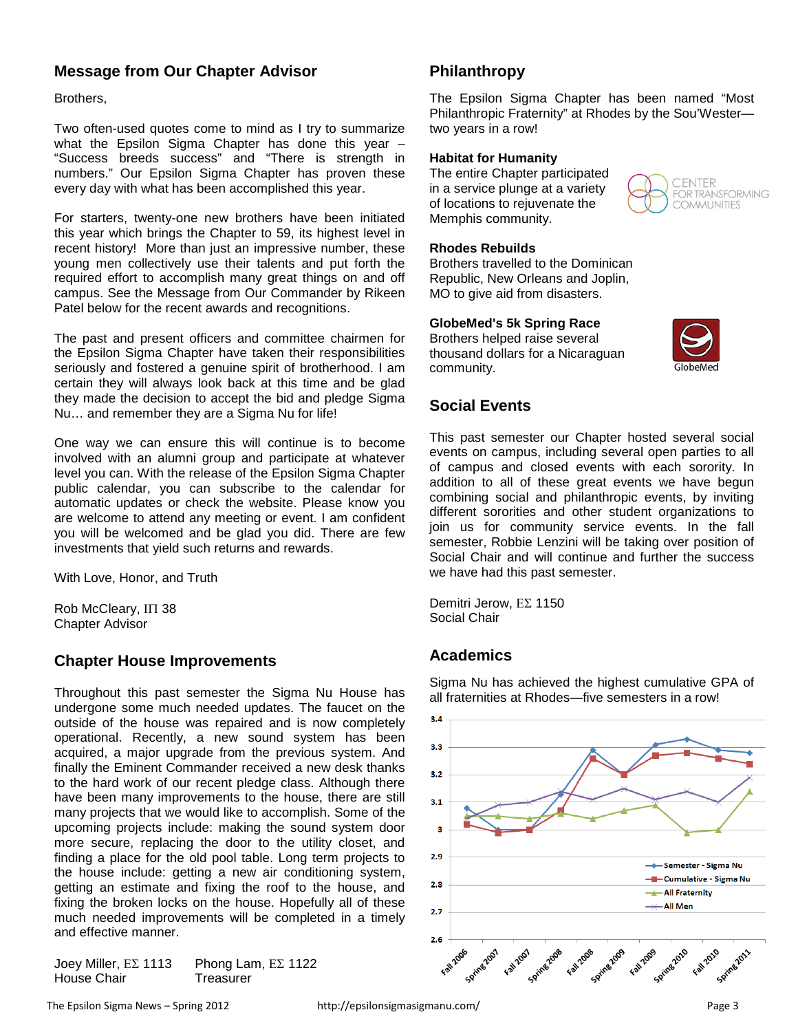#### **Message from Our Chapter Advisor**

Brothers,

Two often-used quotes come to mind as I try to summarize what the Epsilon Sigma Chapter has done this year – "Success breeds success" and "There is strength in numbers." Our Epsilon Sigma Chapter has proven these every day with what has been accomplished this year.

For starters, twenty-one new brothers have been initiated this year which brings the Chapter to 59, its highest level in recent history! More than just an impressive number, these young men collectively use their talents and put forth the required effort to accomplish many great things on and off campus. See the Message from Our Commander by Rikeen Patel below for the recent awards and recognitions.

The past and present officers and committee chairmen for the Epsilon Sigma Chapter have taken their responsibilities seriously and fostered a genuine spirit of brotherhood. I am certain they will always look back at this time and be glad they made the decision to accept the bid and pledge Sigma Nu… and remember they are a Sigma Nu for life!

One way we can ensure this will continue is to become involved with an alumni group and participate at whatever level you can. With the release of the Epsilon Sigma Chapter public calendar, you can subscribe to the calendar for automatic updates or check the website. Please know you are welcome to attend any meeting or event. I am confident you will be welcomed and be glad you did. There are few investments that yield such returns and rewards.

With Love, Honor, and Truth

Rob McCleary, ΙΠ 38 Chapter Advisor

#### **Chapter House Improvements**

Throughout this past semester the Sigma Nu House has undergone some much needed updates. The faucet on the outside of the house was repaired and is now completely operational. Recently, a new sound system has been acquired, a major upgrade from the previous system. And finally the Eminent Commander received a new desk thanks to the hard work of our recent pledge class. Although there have been many improvements to the house, there are still many projects that we would like to accomplish. Some of the upcoming projects include: making the sound system door more secure, replacing the door to the utility closet, and finding a place for the old pool table. Long term projects to the house include: getting a new air conditioning system, getting an estimate and fixing the roof to the house, and fixing the broken locks on the house. Hopefully all of these much needed improvements will be completed in a timely and effective manner.

Joey Miller, ΕΣ 1113 Phong Lam, ΕΣ 1122 House Chair **Treasurer** 

**Philanthropy**

The Epsilon Sigma Chapter has been named "Most Philanthropic Fraternity" at Rhodes by the Sou'Wester two years in a row!

#### **Habitat for Humanity**

The entire Chapter participated in a service plunge at a variety of locations to rejuvenate the Memphis community.

#### **Rhodes Rebuilds**

Brothers travelled to the Dominican Republic, New Orleans and Joplin, MO to give aid from disasters.

**GlobeMed's 5k Spring Race**

Brothers helped raise several thousand dollars for a Nicaraguan community.



**FNTFR** FOR TRANSFORMING **COMMUNITIES** 

#### **Social Events**

This past semester our Chapter hosted several social events on campus, including several open parties to all of campus and closed events with each sorority. In addition to all of these great events we have begun combining social and philanthropic events, by inviting different sororities and other student organizations to join us for community service events. In the fall semester, Robbie Lenzini will be taking over position of Social Chair and will continue and further the success we have had this past semester.

Demitri Jerow, ΕΣ 1150 Social Chair

## **Academics**

Sigma Nu has achieved the highest cumulative GPA of all fraternities at Rhodes—five semesters in a row!

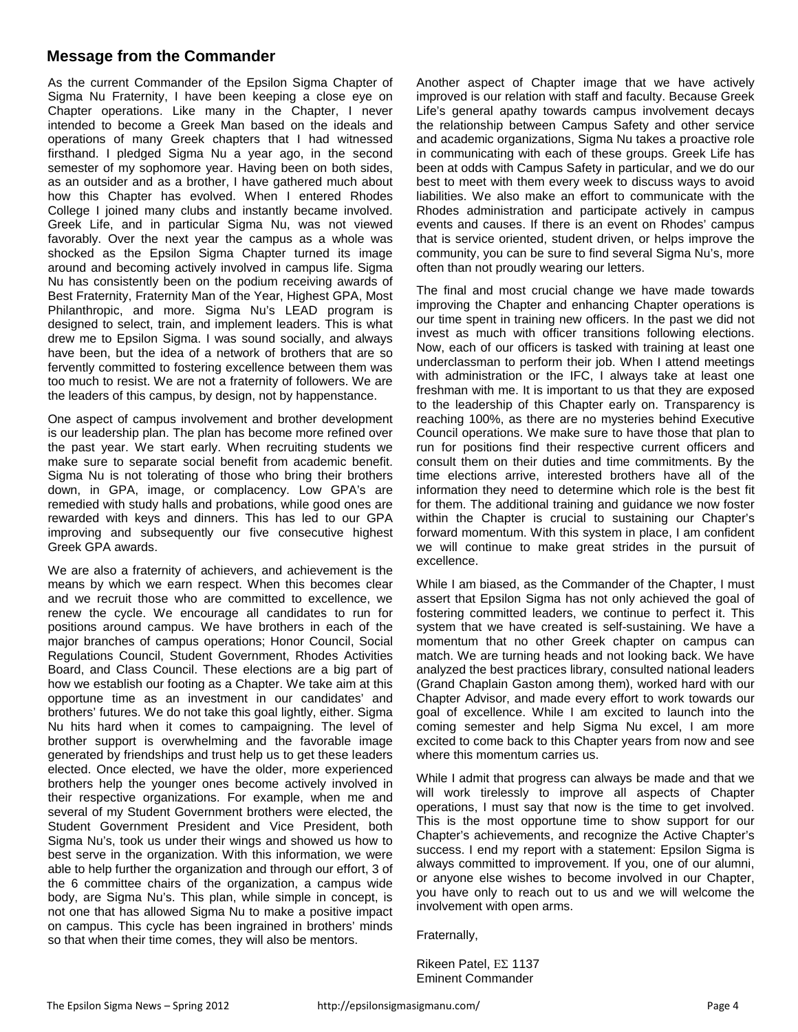#### **Message from the Commander**

As the current Commander of the Epsilon Sigma Chapter of Sigma Nu Fraternity, I have been keeping a close eye on Chapter operations. Like many in the Chapter, I never intended to become a Greek Man based on the ideals and operations of many Greek chapters that I had witnessed firsthand. I pledged Sigma Nu a year ago, in the second semester of my sophomore year. Having been on both sides, as an outsider and as a brother, I have gathered much about how this Chapter has evolved. When I entered Rhodes College I joined many clubs and instantly became involved. Greek Life, and in particular Sigma Nu, was not viewed favorably. Over the next year the campus as a whole was shocked as the Epsilon Sigma Chapter turned its image around and becoming actively involved in campus life. Sigma Nu has consistently been on the podium receiving awards of Best Fraternity, Fraternity Man of the Year, Highest GPA, Most Philanthropic, and more. Sigma Nu's LEAD program is designed to select, train, and implement leaders. This is what drew me to Epsilon Sigma. I was sound socially, and always have been, but the idea of a network of brothers that are so fervently committed to fostering excellence between them was too much to resist. We are not a fraternity of followers. We are the leaders of this campus, by design, not by happenstance.

One aspect of campus involvement and brother development is our leadership plan. The plan has become more refined over the past year. We start early. When recruiting students we make sure to separate social benefit from academic benefit. Sigma Nu is not tolerating of those who bring their brothers down, in GPA, image, or complacency. Low GPA's are remedied with study halls and probations, while good ones are rewarded with keys and dinners. This has led to our GPA improving and subsequently our five consecutive highest Greek GPA awards.

We are also a fraternity of achievers, and achievement is the means by which we earn respect. When this becomes clear and we recruit those who are committed to excellence, we renew the cycle. We encourage all candidates to run for positions around campus. We have brothers in each of the major branches of campus operations; Honor Council, Social Regulations Council, Student Government, Rhodes Activities Board, and Class Council. These elections are a big part of how we establish our footing as a Chapter. We take aim at this opportune time as an investment in our candidates' and brothers' futures. We do not take this goal lightly, either. Sigma Nu hits hard when it comes to campaigning. The level of brother support is overwhelming and the favorable image generated by friendships and trust help us to get these leaders elected. Once elected, we have the older, more experienced brothers help the younger ones become actively involved in their respective organizations. For example, when me and several of my Student Government brothers were elected, the Student Government President and Vice President, both Sigma Nu's, took us under their wings and showed us how to best serve in the organization. With this information, we were able to help further the organization and through our effort, 3 of the 6 committee chairs of the organization, a campus wide body, are Sigma Nu's. This plan, while simple in concept, is not one that has allowed Sigma Nu to make a positive impact on campus. This cycle has been ingrained in brothers' minds so that when their time comes, they will also be mentors.

Another aspect of Chapter image that we have actively improved is our relation with staff and faculty. Because Greek Life's general apathy towards campus involvement decays the relationship between Campus Safety and other service and academic organizations, Sigma Nu takes a proactive role in communicating with each of these groups. Greek Life has been at odds with Campus Safety in particular, and we do our best to meet with them every week to discuss ways to avoid liabilities. We also make an effort to communicate with the Rhodes administration and participate actively in campus events and causes. If there is an event on Rhodes' campus that is service oriented, student driven, or helps improve the community, you can be sure to find several Sigma Nu's, more often than not proudly wearing our letters.

The final and most crucial change we have made towards improving the Chapter and enhancing Chapter operations is our time spent in training new officers. In the past we did not invest as much with officer transitions following elections. Now, each of our officers is tasked with training at least one underclassman to perform their job. When I attend meetings with administration or the IFC, I always take at least one freshman with me. It is important to us that they are exposed to the leadership of this Chapter early on. Transparency is reaching 100%, as there are no mysteries behind Executive Council operations. We make sure to have those that plan to run for positions find their respective current officers and consult them on their duties and time commitments. By the time elections arrive, interested brothers have all of the information they need to determine which role is the best fit for them. The additional training and guidance we now foster within the Chapter is crucial to sustaining our Chapter's forward momentum. With this system in place, I am confident we will continue to make great strides in the pursuit of excellence.

While I am biased, as the Commander of the Chapter, I must assert that Epsilon Sigma has not only achieved the goal of fostering committed leaders, we continue to perfect it. This system that we have created is self-sustaining. We have a momentum that no other Greek chapter on campus can match. We are turning heads and not looking back. We have analyzed the best practices library, consulted national leaders (Grand Chaplain Gaston among them), worked hard with our Chapter Advisor, and made every effort to work towards our goal of excellence. While I am excited to launch into the coming semester and help Sigma Nu excel, I am more excited to come back to this Chapter years from now and see where this momentum carries us.

While I admit that progress can always be made and that we will work tirelessly to improve all aspects of Chapter operations, I must say that now is the time to get involved. This is the most opportune time to show support for our Chapter's achievements, and recognize the Active Chapter's success. I end my report with a statement: Epsilon Sigma is always committed to improvement. If you, one of our alumni, or anyone else wishes to become involved in our Chapter, you have only to reach out to us and we will welcome the involvement with open arms.

Fraternally,

Rikeen Patel, ΕΣ 1137 Eminent Commander